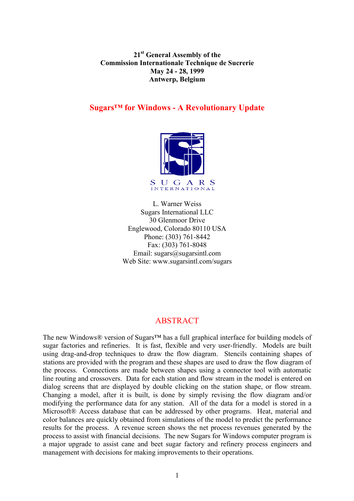**21st General Assembly of the Commission Internationale Technique de Sucrerie May 24 - 28, 1999 Antwerp, Belgium**

### **Sugars™ for Windows - A Revolutionary Update**



L. Warner Weiss Sugars International LLC 30 Glenmoor Drive Englewood, Colorado 80110 USA Phone: (303) 761-8442 Fax: (303) 761-8048 Email: sugars@sugarsintl.com Web Site: www.sugarsintl.com/sugars

## ABSTRACT

The new Windows® version of Sugars™ has a full graphical interface for building models of sugar factories and refineries. It is fast, flexible and very user-friendly. Models are built using drag-and-drop techniques to draw the flow diagram. Stencils containing shapes of stations are provided with the program and these shapes are used to draw the flow diagram of the process. Connections are made between shapes using a connector tool with automatic line routing and crossovers. Data for each station and flow stream in the model is entered on dialog screens that are displayed by double clicking on the station shape, or flow stream. Changing a model, after it is built, is done by simply revising the flow diagram and/or modifying the performance data for any station. All of the data for a model is stored in a Microsoft® Access database that can be addressed by other programs. Heat, material and color balances are quickly obtained from simulations of the model to predict the performance results for the process. A revenue screen shows the net process revenues generated by the process to assist with financial decisions. The new Sugars for Windows computer program is a major upgrade to assist cane and beet sugar factory and refinery process engineers and management with decisions for making improvements to their operations.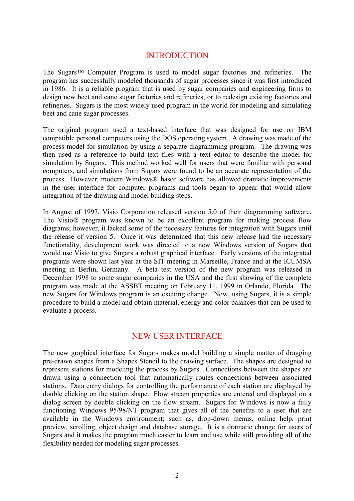## INTRODUCTION

The Sugars™ Computer Program is used to model sugar factories and refineries. The program has successfully modeled thousands of sugar processes since it was first introduced in 1986. It is a reliable program that is used by sugar companies and engineering firms to design new beet and cane sugar factories and refineries, or to redesign existing factories and refineries. Sugars is the most widely used program in the world for modeling and simulating beet and cane sugar processes.

The original program used a text-based interface that was designed for use on IBM compatible personal computers using the DOS operating system. A drawing was made of the process model for simulation by using a separate diagramming program. The drawing was then used as a reference to build text files with a text editor to describe the model for simulation by Sugars. This method worked well for users that were familiar with personal computers, and simulations from Sugars were found to be an accurate representation of the process. However, modern Windows® based software has allowed dramatic improvements in the user interface for computer programs and tools began to appear that would allow integration of the drawing and model building steps.

In August of 1997, Visio Corporation released version 5.0 of their diagramming software. The Visio® program was known to be an excellent program for making process flow diagrams; however, it lacked some of the necessary features for integration with Sugars until the release of version 5. Once it was determined that this new release had the necessary functionality, development work was directed to a new Windows version of Sugars that would use Visio to give Sugars a robust graphical interface. Early versions of the integrated programs were shown last year at the SIT meeting in Marseille, France and at the ICUMSA meeting in Berlin, Germany. A beta test version of the new program was released in December 1998 to some sugar companies in the USA and the first showing of the complete program was made at the ASSBT meeting on February 11, 1999 in Orlando, Florida. The new Sugars for Windows program is an exciting change. Now, using Sugars, it is a simple procedure to build a model and obtain material, energy and color balances that can be used to evaluate a process.

## NEW USER INTERFACE

The new graphical interface for Sugars makes model building a simple matter of dragging pre-drawn shapes from a Shapes Stencil to the drawing surface. The shapes are designed to represent stations for modeling the process by Sugars. Connections between the shapes are drawn using a connection tool that automatically routes connections between associated stations. Data entry dialogs for controlling the performance of each station are displayed by double clicking on the station shape. Flow stream properties are entered and displayed on a dialog screen by double clicking on the flow stream. Sugars for Windows is now a fully functioning Windows 95/98/NT program that gives all of the benefits to a user that are available in the Windows environment; such as, drop-down menus, online help, print preview, scrolling, object design and database storage. It is a dramatic change for users of Sugars and it makes the program much easier to learn and use while still providing all of the flexibility needed for modeling sugar processes.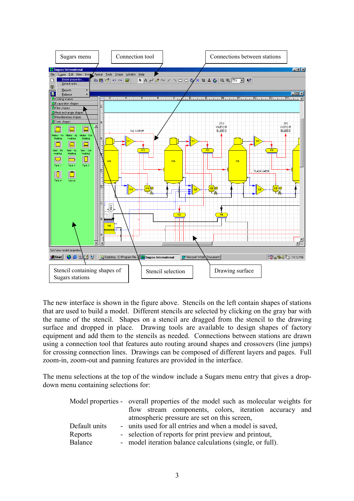

The new interface is shown in the figure above. Stencils on the left contain shapes of stations that are used to build a model. Different stencils are selected by clicking on the gray bar with the name of the stencil. Shapes on a stencil are dragged from the stencil to the drawing surface and dropped in place. Drawing tools are available to design shapes of factory equipment and add them to the stencils as needed. Connections between stations are drawn using a connection tool that features auto routing around shapes and crossovers (line jumps) for crossing connection lines. Drawings can be composed of different layers and pages. Full zoom-in, zoom-out and panning features are provided in the interface.

The menu selections at the top of the window include a Sugars menu entry that gives a dropdown menu containing selections for:

|               | Model properties - overall properties of the model such as molecular weights for |  |  |  |  |  |
|---------------|----------------------------------------------------------------------------------|--|--|--|--|--|
|               | flow stream components, colors, iteration accuracy and                           |  |  |  |  |  |
|               | atmospheric pressure are set on this screen,                                     |  |  |  |  |  |
| Default units | - units used for all entries and when a model is saved,                          |  |  |  |  |  |
| Reports       | - selection of reports for print preview and printout,                           |  |  |  |  |  |
| Balance       | - model iteration balance calculations (single, or full).                        |  |  |  |  |  |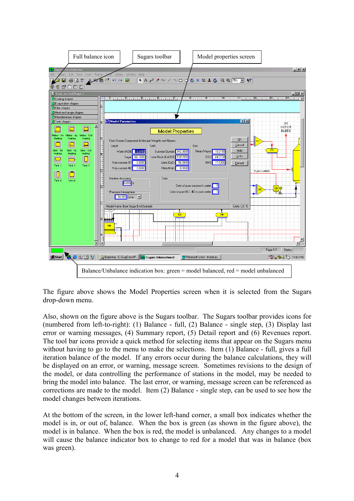

The figure above shows the Model Properties screen when it is selected from the Sugars drop-down menu.

Also, shown on the figure above is the Sugars toolbar. The Sugars toolbar provides icons for (numbered from left-to-right): (1) Balance - full, (2) Balance - single step, (3) Display last error or warning messages, (4) Summary report, (5) Detail report and (6) Revenues report. The tool bar icons provide a quick method for selecting items that appear on the Sugars menu without having to go to the menu to make the selections. Item (1) Balance - full, gives a full iteration balance of the model. If any errors occur during the balance calculations, they will be displayed on an error, or warning, message screen. Sometimes revisions to the design of the model, or data controlling the performance of stations in the model, may be needed to bring the model into balance. The last error, or warning, message screen can be referenced as corrections are made to the model. Item (2) Balance - single step, can be used to see how the model changes between iterations.

At the bottom of the screen, in the lower left-hand corner, a small box indicates whether the model is in, or out of, balance. When the box is green (as shown in the figure above), the model is in balance. When the box is red, the model is unbalanced. Any changes to a model will cause the balance indicator box to change to red for a model that was in balance (box was green).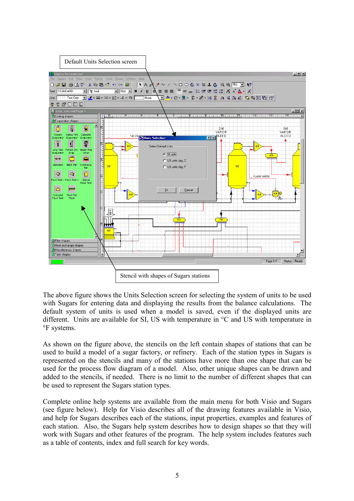

The above figure shows the Units Selection screen for selecting the system of units to be used with Sugars for entering data and displaying the results from the balance calculations. The default system of units is used when a model is saved, even if the displayed units are different. Units are available for SI, US with temperature in °C and US with temperature in °F systems.

As shown on the figure above, the stencils on the left contain shapes of stations that can be used to build a model of a sugar factory, or refinery. Each of the station types in Sugars is represented on the stencils and many of the stations have more than one shape that can be used for the process flow diagram of a model. Also, other unique shapes can be drawn and added to the stencils, if needed. There is no limit to the number of different shapes that can be used to represent the Sugars station types.

Complete online help systems are available from the main menu for both Visio and Sugars (see figure below). Help for Visio describes all of the drawing features available in Visio, and help for Sugars describes each of the stations, input properties, examples and features of each station. Also, the Sugars help system describes how to design shapes so that they will work with Sugars and other features of the program. The help system includes features such as a table of contents, index and full search for key words.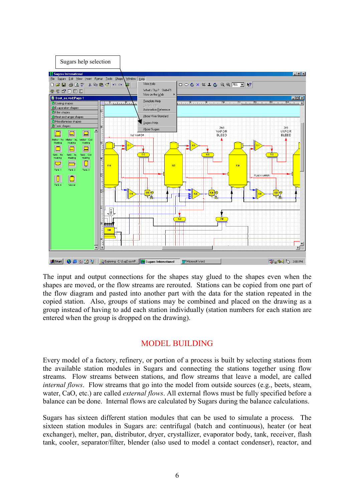

The input and output connections for the shapes stay glued to the shapes even when the shapes are moved, or the flow streams are rerouted. Stations can be copied from one part of the flow diagram and pasted into another part with the data for the station repeated in the copied station. Also, groups of stations may be combined and placed on the drawing as a group instead of having to add each station individually (station numbers for each station are entered when the group is dropped on the drawing).

# MODEL BUILDING

Every model of a factory, refinery, or portion of a process is built by selecting stations from the available station modules in Sugars and connecting the stations together using flow streams. Flow streams between stations, and flow streams that leave a model, are called *internal flows.* Flow streams that go into the model from outside sources (e.g., beets, steam, water, CaO, etc.) are called *external flows*. All external flows must be fully specified before a balance can be done. Internal flows are calculated by Sugars during the balance calculations.

Sugars has sixteen different station modules that can be used to simulate a process. The sixteen station modules in Sugars are: centrifugal (batch and continuous), heater (or heat exchanger), melter, pan, distributor, dryer, crystallizer, evaporator body, tank, receiver, flash tank, cooler, separator/filter, blender (also used to model a contact condenser), reactor, and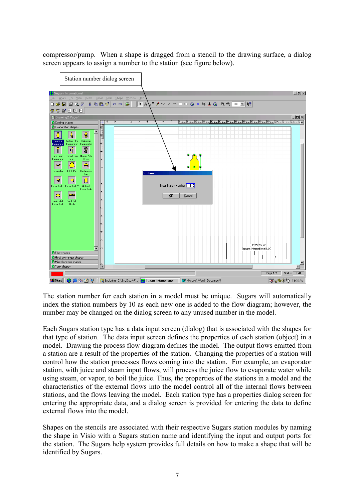compressor/pump. When a shape is dragged from a stencil to the drawing surface, a dialog screen appears to assign a number to the station (see figure below).



The station number for each station in a model must be unique. Sugars will automatically index the station numbers by 10 as each new one is added to the flow diagram; however, the number may be changed on the dialog screen to any unused number in the model.

Each Sugars station type has a data input screen (dialog) that is associated with the shapes for that type of station. The data input screen defines the properties of each station (object) in a model. Drawing the process flow diagram defines the model. The output flows emitted from a station are a result of the properties of the station. Changing the properties of a station will control how the station processes flows coming into the station. For example, an evaporator station, with juice and steam input flows, will process the juice flow to evaporate water while using steam, or vapor, to boil the juice. Thus, the properties of the stations in a model and the characteristics of the external flows into the model control all of the internal flows between stations, and the flows leaving the model. Each station type has a properties dialog screen for entering the appropriate data, and a dialog screen is provided for entering the data to define external flows into the model.

Shapes on the stencils are associated with their respective Sugars station modules by naming the shape in Visio with a Sugars station name and identifying the input and output ports for the station. The Sugars help system provides full details on how to make a shape that will be identified by Sugars.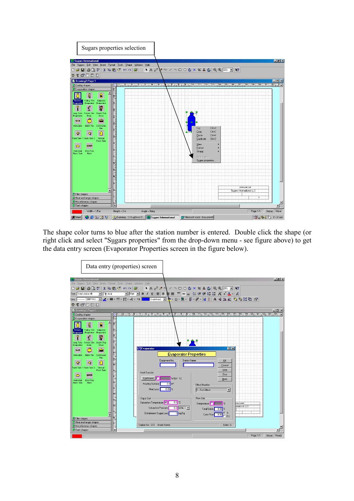

The shape color turns to blue after the station number is entered. Double click the shape (or right click and select "Sugars properties" from the drop-down menu - see figure above) to get the data entry screen (Evaporator Properties screen in the figure below).

| Data entry (properties) screen                                                                           |                                                                                                                                                                                                                                                                                                                                                                                                                                                                                                                                              |                                              |                                                                                             |                  |                  |
|----------------------------------------------------------------------------------------------------------|----------------------------------------------------------------------------------------------------------------------------------------------------------------------------------------------------------------------------------------------------------------------------------------------------------------------------------------------------------------------------------------------------------------------------------------------------------------------------------------------------------------------------------------------|----------------------------------------------|---------------------------------------------------------------------------------------------|------------------|------------------|
| <b>SUGARE International</b>                                                                              |                                                                                                                                                                                                                                                                                                                                                                                                                                                                                                                                              |                                              |                                                                                             |                  | $-10x$           |
| File Sugars Edit View Insert Format Tools Shape Window Help                                              |                                                                                                                                                                                                                                                                                                                                                                                                                                                                                                                                              |                                              |                                                                                             |                  |                  |
|                                                                                                          |                                                                                                                                                                                                                                                                                                                                                                                                                                                                                                                                              |                                              |                                                                                             |                  |                  |
| Text: Valid station fill                                                                                 | $\boxed{\text{Tr} \text{ Aial}} \qquad \boxed{\text{Tr} \text{ Aial}} \qquad \boxed{\text{Tr} \text{ Aial}} \qquad \boxed{\text{Tr} \text{ Aial}} \qquad \boxed{\text{Br} \text{ Aial}} \qquad \boxed{\text{Br} \text{ Aial}} \qquad \boxed{\text{Br} \text{ Aial}} \qquad \boxed{\text{Br} \text{ Aial}} \qquad \boxed{\text{Br} \text{ Aial}} \qquad \boxed{\text{Br} \text{ Aial}} \qquad \boxed{\text{Br} \text{ Aial}} \qquad \boxed{\text{Br} \text{ Aial}} \qquad \boxed{\text{Br} \text{ Aial}} \qquad \boxed{\text{Br} \text{ Aial$ |                                              |                                                                                             |                  |                  |
| Line: ├── CONTINU… न ◢ - ═・ᆖ・-글・---- - File ┃ Undefined - ▶ - ② - 르 - Ë-- 블・붉 - ろ 김 △ 소 스   ப ப 다 [ 그 G] |                                                                                                                                                                                                                                                                                                                                                                                                                                                                                                                                              |                                              |                                                                                             |                  |                  |
|                                                                                                          |                                                                                                                                                                                                                                                                                                                                                                                                                                                                                                                                              |                                              |                                                                                             |                  |                  |
| $P + P$ of $P$ iii $P$                                                                                   |                                                                                                                                                                                                                                                                                                                                                                                                                                                                                                                                              |                                              |                                                                                             |                  |                  |
| Drawing1:Page-1                                                                                          |                                                                                                                                                                                                                                                                                                                                                                                                                                                                                                                                              |                                              |                                                                                             |                  | $ \Box$ $\times$ |
| Cooling shapes                                                                                           |                                                                                                                                                                                                                                                                                                                                                                                                                                                                                                                                              |                                              |                                                                                             |                  |                  |
| E vaporation shapes                                                                                      |                                                                                                                                                                                                                                                                                                                                                                                                                                                                                                                                              |                                              |                                                                                             |                  |                  |
| ą<br>8                                                                                                   |                                                                                                                                                                                                                                                                                                                                                                                                                                                                                                                                              |                                              |                                                                                             |                  |                  |
| Roberts<br><b>Falling Film</b><br>Calandria                                                              |                                                                                                                                                                                                                                                                                                                                                                                                                                                                                                                                              |                                              |                                                                                             |                  |                  |
| Evaporator<br>Evaporator<br>Evaporator                                                                   |                                                                                                                                                                                                                                                                                                                                                                                                                                                                                                                                              |                                              |                                                                                             |                  |                  |
| 鼎<br>í                                                                                                   |                                                                                                                                                                                                                                                                                                                                                                                                                                                                                                                                              |                                              |                                                                                             |                  |                  |
| Long Tube Forced Circ. Steam Pulp<br>Evaporator<br>Evap.<br>Dryer                                        |                                                                                                                                                                                                                                                                                                                                                                                                                                                                                                                                              |                                              |                                                                                             |                  |                  |
|                                                                                                          |                                                                                                                                                                                                                                                                                                                                                                                                                                                                                                                                              |                                              |                                                                                             |                  |                  |
|                                                                                                          | Evaporator                                                                                                                                                                                                                                                                                                                                                                                                                                                                                                                                   |                                              | 7x                                                                                          |                  |                  |
| á<br><b>the state</b>                                                                                    |                                                                                                                                                                                                                                                                                                                                                                                                                                                                                                                                              |                                              |                                                                                             |                  |                  |
| <b>Batch Pan</b><br>Continuous<br>Granulator<br>Pan                                                      |                                                                                                                                                                                                                                                                                                                                                                                                                                                                                                                                              | <b>Evaporator Properties</b>                 |                                                                                             |                  |                  |
| -9<br>횫                                                                                                  | Equipment No.                                                                                                                                                                                                                                                                                                                                                                                                                                                                                                                                | <b>Station Name</b>                          | QK                                                                                          |                  |                  |
| Flash Tank 1 Flash Tank 2<br><b>Mertical</b>                                                             |                                                                                                                                                                                                                                                                                                                                                                                                                                                                                                                                              |                                              | Cancel                                                                                      |                  |                  |
| <b>Flash Tank</b>                                                                                        | <b>Heat Transfer</b>                                                                                                                                                                                                                                                                                                                                                                                                                                                                                                                         |                                              | Help                                                                                        |                  |                  |
| $\bullet$<br><b>Barnet</b>                                                                               |                                                                                                                                                                                                                                                                                                                                                                                                                                                                                                                                              |                                              | Print                                                                                       |                  |                  |
| Horizontal<br><b>Dried Pulp</b>                                                                          | Coefficient                                                                                                                                                                                                                                                                                                                                                                                                                                                                                                                                  | W/fm <sup>2</sup> · K)                       | Units                                                                                       |                  |                  |
| <b>Flash Tank</b><br><b>Flash</b>                                                                        | Heating Surface<br>0.01 <sub>m</sub>                                                                                                                                                                                                                                                                                                                                                                                                                                                                                                         | <b>Effect Number</b>                         |                                                                                             |                  |                  |
|                                                                                                          | $0.00 \times$<br>Heat Loss                                                                                                                                                                                                                                                                                                                                                                                                                                                                                                                   | 1 - First Effect                             | $\blacksquare$                                                                              |                  |                  |
|                                                                                                          |                                                                                                                                                                                                                                                                                                                                                                                                                                                                                                                                              |                                              |                                                                                             |                  |                  |
|                                                                                                          | Vapor Dut                                                                                                                                                                                                                                                                                                                                                                                                                                                                                                                                    | Flow Out                                     |                                                                                             |                  |                  |
|                                                                                                          | Saturation Temperature                                                                                                                                                                                                                                                                                                                                                                                                                                                                                                                       | $0.0$ $^{\circ}$ C<br>Temperature <b>FII</b> | l'C                                                                                         | <b>HBALANCED</b> |                  |
|                                                                                                          | Saturation Pressure                                                                                                                                                                                                                                                                                                                                                                                                                                                                                                                          | $0.0$ KPA $\blacksquare$                     | Total Solids 0.00 %                                                                         | emational LLC    |                  |
|                                                                                                          | Entrainment Sugar Loss                                                                                                                                                                                                                                                                                                                                                                                                                                                                                                                       | 0 mg/kg                                      |                                                                                             |                  |                  |
| <b>C</b> Filter shapes                                                                                   |                                                                                                                                                                                                                                                                                                                                                                                                                                                                                                                                              |                                              | Color Rise $\begin{array}{ c c c }\n\hline\n0.00 & C & \n\hline\nC & \n\hline\n\end{array}$ |                  |                  |
| <b>H</b> Heat exchanger shapes                                                                           |                                                                                                                                                                                                                                                                                                                                                                                                                                                                                                                                              |                                              |                                                                                             |                  |                  |
| Miscellaneous shapes                                                                                     | Station No.: 610 Model Name:                                                                                                                                                                                                                                                                                                                                                                                                                                                                                                                 |                                              | Units: SI                                                                                   |                  |                  |
| <b>D</b> Tank shapes                                                                                     |                                                                                                                                                                                                                                                                                                                                                                                                                                                                                                                                              |                                              |                                                                                             | Page 1/1         | Status: Ready    |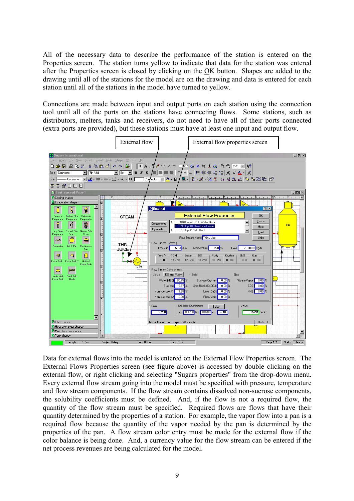All of the necessary data to describe the performance of the station is entered on the Properties screen. The station turns yellow to indicate that data for the station was entered after the Properties screen is closed by clicking on the OK button. Shapes are added to the drawing until all of the stations for the model are on the drawing and data is entered for each station until all of the stations in the model have turned to yellow.

Connections are made between input and output ports on each station using the connection tool until all of the ports on the stations have connecting flows. Some stations, such as distributors, melters, tanks and receivers, do not need to have all of their ports connected (extra ports are provided), but these stations must have at least one input and output flow.



Data for external flows into the model is entered on the External Flow Properties screen. The External Flows Properties screen (see figure above) is accessed by double clicking on the external flow, or right clicking and selecting "Sugars properties" from the drop-down menu. Every external flow stream going into the model must be specified with pressure, temperature and flow stream components. If the flow stream contains dissolved non-sucrose components, the solubility coefficients must be defined. And, if the flow is not a required flow, the quantity of the flow stream must be specified. Required flows are flows that have their quantity determined by the properties of a station. For example, the vapor flow into a pan is a required flow because the quantity of the vapor needed by the pan is determined by the properties of the pan. A flow stream color entry must be made for the external flow if the color balance is being done. And, a currency value for the flow stream can be entered if the net process revenues are being calculated for the model.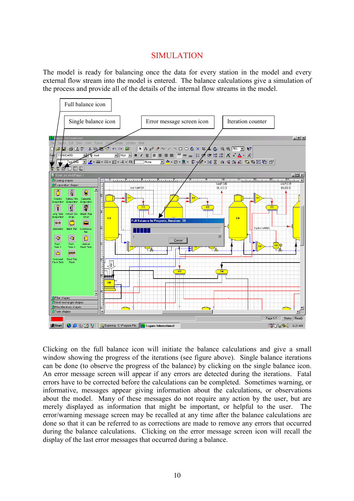#### SIMULATION

The model is ready for balancing once the data for every station in the model and every external flow stream into the model is entered. The balance calculations give a simulation of the process and provide all of the details of the internal flow streams in the model.



Clicking on the full balance icon will initiate the balance calculations and give a small window showing the progress of the iterations (see figure above). Single balance iterations can be done (to observe the progress of the balance) by clicking on the single balance icon. An error message screen will appear if any errors are detected during the iterations. Fatal errors have to be corrected before the calculations can be completed. Sometimes warning, or informative, messages appear giving information about the calculations, or observations about the model. Many of these messages do not require any action by the user, but are merely displayed as information that might be important, or helpful to the user. The error/warning message screen may be recalled at any time after the balance calculations are done so that it can be referred to as corrections are made to remove any errors that occurred during the balance calculations. Clicking on the error message screen icon will recall the display of the last error messages that occurred during a balance.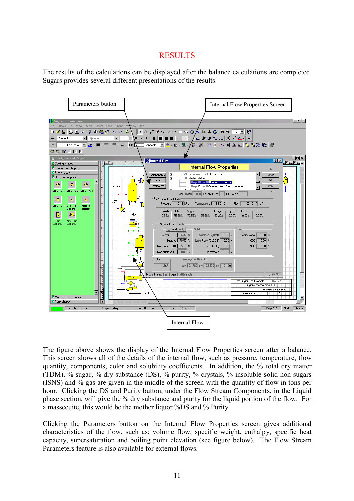## **RESULTS**

The results of the calculations can be displayed after the balance calculations are completed. Sugars provides several different presentations of the results.



The figure above shows the display of the Internal Flow Properties screen after a balance. This screen shows all of the details of the internal flow, such as pressure, temperature, flow quantity, components, color and solubility coefficients. In addition, the % total dry matter (TDM), % sugar, % dry substance (DS), % purity, % crystals, % insoluble solid non-sugars (ISNS) and % gas are given in the middle of the screen with the quantity of flow in tons per hour. Clicking the DS and Purity button, under the Flow Stream Components, in the Liquid phase section, will give the % dry substance and purity for the liquid portion of the flow. For a massecuite, this would be the mother liquor %DS and % Purity.

Clicking the Parameters button on the Internal Flow Properties screen gives additional characteristics of the flow, such as: volume flow, specific weight, enthalpy, specific heat capacity, supersaturation and boiling point elevation (see figure below). The Flow Stream Parameters feature is also available for external flows.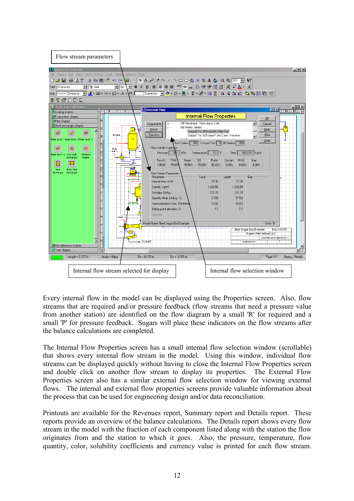

Every internal flow in the model can be displayed using the Properties screen. Also, flow streams that are required and/or pressure feedback (flow streams that need a pressure value from another station) are identified on the flow diagram by a small 'R' for required and a small 'P' for pressure feedback. Sugars will place these indicators on the flow streams after the balance calculations are completed.

The Internal Flow Properties screen has a small internal flow selection window (scrollable) that shows every internal flow stream in the model. Using this window, individual flow streams can be displayed quickly without having to close the Internal Flow Properties screen and double click on another flow stream to display its properties. The External Flow Properties screen also has a similar external flow selection window for viewing external flows. The internal and external flow properties screens provide valuable information about the process that can be used for engineering design and/or data reconciliation.

Printouts are available for the Revenues report, Summary report and Details report. These reports provide an overview of the balance calculations. The Details report shows every flow stream in the model with the fraction of each component listed along with the station the flow originates from and the station to which it goes. Also, the pressure, temperature, flow quantity, color, solubility coefficients and currency value is printed for each flow stream.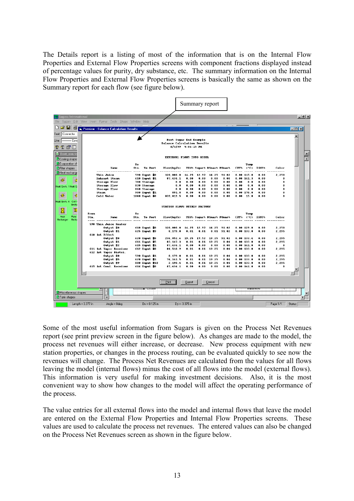The Details report is a listing of most of the information that is on the Internal Flow Properties and External Flow Properties screens with component fractions displayed instead of percentage values for purity, dry substance, etc. The summary information on the Internal Flow Properties and External Flow Properties screens is basically the same as shown on the Summary report for each flow (see figure below).



Some of the most useful information from Sugars is given on the Process Net Revenues report (see print preview screen in the figure below). As changes are made to the model, the process net revenues will either increase, or decrease. New process equipment with new station properties, or changes in the process routing, can be evaluated quickly to see now the revenues will change. The Process Net Revenues are calculated from the values for all flows leaving the model (internal flows) minus the cost of all flows into the model (external flows). This information is very useful for making investment decisions. Also, it is the most convenient way to show how changes to the model will affect the operating performance of the process.

The value entries for all external flows into the model and internal flows that leave the model are entered on the External Flow Properties and Internal Flow Properties screens. These values are used to calculate the process net revenues. The entered values can also be changed on the Process Net Revenues screen as shown in the figure below.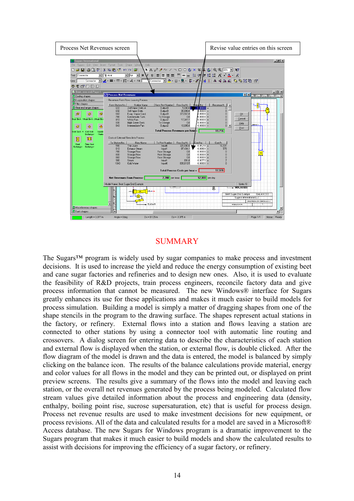

# SUMMARY

The Sugars™ program is widely used by sugar companies to make process and investment decisions. It is used to increase the yield and reduce the energy consumption of existing beet and cane sugar factories and refineries and to design new ones. Also, it is used to evaluate the feasibility of R&D projects, train process engineers, reconcile factory data and give process information that cannot be measured. The new Windows® interface for Sugars greatly enhances its use for these applications and makes it much easier to build models for process simulation. Building a model is simply a matter of dragging shapes from one of the shape stencils in the program to the drawing surface. The shapes represent actual stations in the factory, or refinery. External flows into a station and flows leaving a station are connected to other stations by using a connector tool with automatic line routing and crossovers. A dialog screen for entering data to describe the characteristics of each station and external flow is displayed when the station, or external flow, is double clicked. After the flow diagram of the model is drawn and the data is entered, the model is balanced by simply clicking on the balance icon. The results of the balance calculations provide material, energy and color values for all flows in the model and they can be printed out, or displayed on print preview screens. The results give a summary of the flows into the model and leaving each station, or the overall net revenues generated by the process being modeled. Calculated flow stream values give detailed information about the process and engineering data (density, enthalpy, boiling point rise, sucrose supersaturation, etc) that is useful for process design. Process net revenue results are used to make investment decisions for new equipment, or process revisions. All of the data and calculated results for a model are saved in a Microsoft® Access database. The new Sugars for Windows program is a dramatic improvement to the Sugars program that makes it much easier to build models and show the calculated results to assist with decisions for improving the efficiency of a sugar factory, or refinery.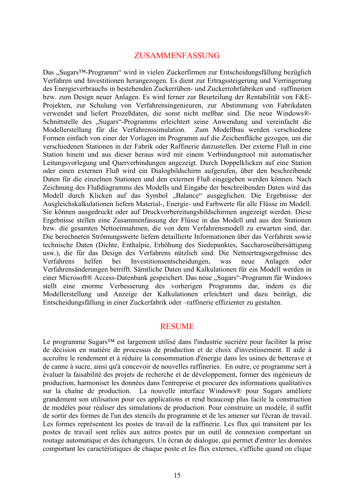#### ZUSAMMENFASSUNG

Das "Sugars™-Programm" wird in vielen Zuckerfirmen zur Entscheidungsfällung bezüglich Verfahren und Investitionen herangezogen. Es dient zur Ertragssteigerung und Verringerung des Energieverbrauchs in bestehenden Zuckerrüben- und Zuckerrohrfabriken und –raffinerien bzw. zum Design neuer Anlagen. Es wird ferner zur Beurteilung der Rentabilität von F&E-Projekten, zur Schulung von Verfahrensingenieuren, zur Abstimmung von Fabrikdaten verwendet und liefert Prozeßdaten, die sonst nicht meßbar sind. Die neue Windows®- Schnittstelle des "Sugars"-Programms erleichtert seine Anwendung und vereinfacht die Modellerstellung für die Verfahrenssimulation. Zum Modellbau werden verschiedene Formen einfach von einer der Vorlagen im Programm auf die Zeichenfläche gezogen, um die verschiedenen Stationen in der Fabrik oder Raffinerie darzustellen. Der externe Fluß in eine Station hinein und aus dieser heraus wird mit einem Verbindungstool mit automatischer Leitungsvorlegung und Querverbindungen angezeigt. Durch Doppelklicken auf eine Station oder einen externen Fluß wird ein Dialogbildschirm aufgerufen, über den beschreibende Daten für die einzelnen Stationen und den externen Fluß eingegeben werden können. Nach Zeichnung des Flußdiagramms des Modells und Eingabe der beschreibenden Daten wird das Modell durch Klicken auf das Symbol "Balance" ausgeglichen. Die Ergebnisse der Ausgleichskalkulationen liefern Material-, Energie- und Farbwerte für alle Flüsse im Modell. Sie können ausgedruckt oder auf Druckvorbereitungsbildschirmen angezeigt werden. Diese Ergebnisse stellen eine Zusammenfassung der Flüsse in das Modell und aus den Stationen bzw. die gesamten Nettoeinnahmen, die von dem Verfahrensmodell zu erwarten sind, dar. Die berechneten Strömungswerte liefern detaillierte Informationen über das Verfahren sowie technische Daten (Dichte, Enthalpie, Erhöhung des Siedepunktes, Saccharoseübersättigung usw.), die für das Design des Verfahrens nützlich sind. Die Nettoertragsergebnisse des Verfahrens helfen bei Investitionsentscheidungen, was neue Anlagen oder Verfahrensänderungen betrifft. Sämtliche Daten und Kalkulationen für ein Modell werden in einer Microsoft® Access-Datenbank gespeichert. Das neue "Sugars"-Programm für Windows stellt eine enorme Verbesserung des vorherigen Programms dar, indem es die Modellerstellung und Anzeige der Kalkulationen erleichtert und dazu beiträgt, die Entscheidungsfällung in einer Zuckerfabrik oder –raffinerie effizienter zu gestalten.

#### RESUME

Le programme Sugars™ est largement utilisé dans l'industrie sucrière pour faciliter la prise de décision en matière de processus de production et de choix d'investissement. Il aide à accroître le rendement et à réduire la consommation d'énergie dans les usines de betterave et de canne à sucre, ainsi qu'à concevoir de nouvelles raffineries. En outre, ce programme sert à évaluer la faisabilité des projets de recherche et de développement, former des ingénieurs de production, harmoniser les données dans l'entreprise et procurer des informations qualitatives sur la chaîne de production. La nouvelle interface Windows® pour Sugars améliore grandement son utilisation pour ces applications et rend beaucoup plus facile la construction de modèles pour réaliser des simulations de production. Pour construire un modèle, il suffit de sortir des formes de l'un des stencils du programme et de les amener sur l'écran de travail. Les formes représentent les postes de travail de la raffinerie. Les flux qui transitent par les postes de travail sont reliés aux autres postes par un outil de connexion comportant un routage automatique et des échangeurs. Un écran de dialogue, qui permet d'entrer les données comportant les caractéristiques de chaque poste et les flux externes, s'affiche quand on clique